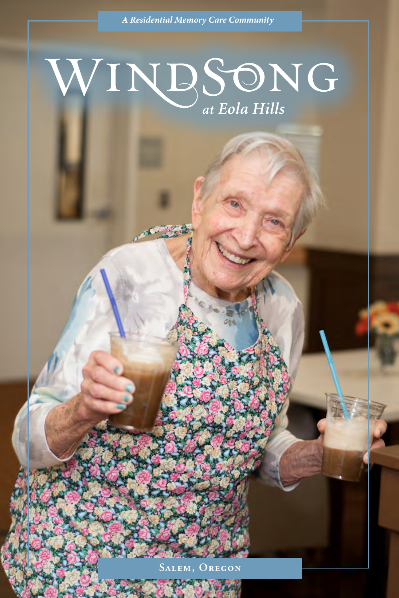### WINDSONG at Eola Hills

**Salem, Oregon**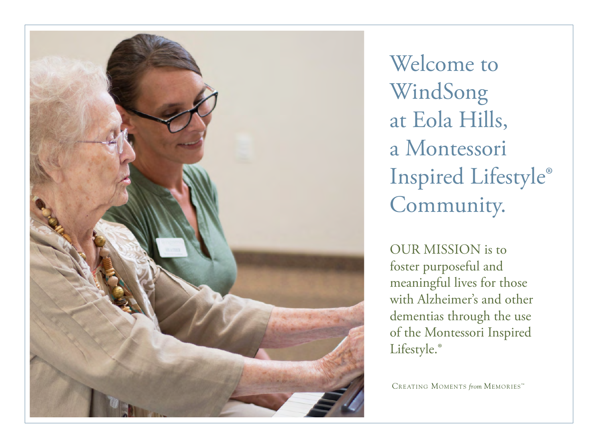

Welcome to WindSong at Eola Hills, a Montessori Inspired Lifestyle® Community.

OUR MISSION is to foster purposeful and meaningful lives for those with Alzheimer's and other dementias through the use of the Montessori Inspired Lifestyle.<sup>®</sup>

CREATING MOMENTS from MEMORIESTM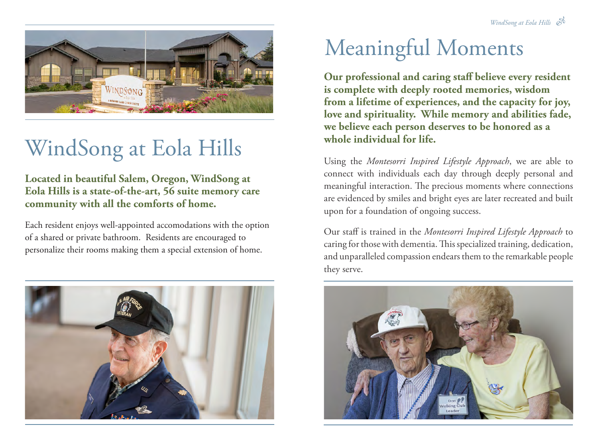

# WindSong at Eola Hills

**Located in beautiful Salem, Oregon, WindSong at Eola Hills is a state-of-the-art, 56 suite memory care community with all the comforts of home.**

Each resident enjoys well-appointed accomodations with the option of a shared or private bathroom. Residents are encouraged to personalize their rooms making them a special extension of home.



## Meaningful Moments

**Our professional and caring staff believe every resident is complete with deeply rooted memories, wisdom from a lifetime of experiences, and the capacity for joy, love and spirituality. While memory and abilities fade, we believe each person deserves to be honored as a whole individual for life.**

Using the *Montesorri Inspired Lifestyle Approach*, we are able to connect with individuals each day through deeply personal and meaningful interaction. The precious moments where connections are evidenced by smiles and bright eyes are later recreated and built upon for a foundation of ongoing success.

Our staff is trained in the *Montesorri Inspired Lifestyle Approach* to caring for those with dementia. This specialized training, dedication, and unparalleled compassion endears them to the remarkable people they serve.

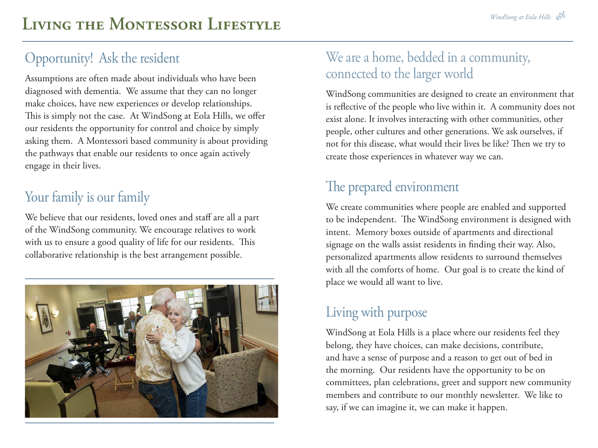### Opportunity! Ask the resident

Assumptions are often made about individuals who have been diagnosed with dementia. We assume that they can no longer make choices, have new experiences or develop relationships. This is simply not the case. At WindSong at Eola Hills, we offer our residents the opportunity for control and choice by simply asking them. A Montessori based community is about providing the pathways that enable our residents to once again actively engage in their lives.

#### Your family is our family

We believe that our residents, loved ones and staff are all a part of the WindSong community. We encourage relatives to work with us to ensure a good quality of life for our residents. This collaborative relationship is the best arrangement possible.



#### We are a home, bedded in a community, connected to the larger world

WindSong communities are designed to create an environment that is reflective of the people who live within it. A community does not exist alone. It involves interacting with other communities, other people, other cultures and other generations. We ask ourselves, if not for this disease, what would their lives be like? Then we try to create those experiences in whatever way we can.

### The prepared environment

We create communities where people are enabled and supported to be independent. The WindSong environment is designed with intent. Memory boxes outside of apartments and directional signage on the walls assist residents in finding their way. Also, personalized apartments allow residents to surround themselves with all the comforts of home. Our goal is to create the kind of place we would all want to live.

#### Living with purpose

WindSong at Eola Hills is a place where our residents feel they belong, they have choices, can make decisions, contribute, and have a sense of purpose and a reason to get out of bed in the morning. Our residents have the opportunity to be on committees, plan celebrations, greet and support new community members and contribute to our monthly newsletter. We like to say, if we can imagine it, we can make it happen.